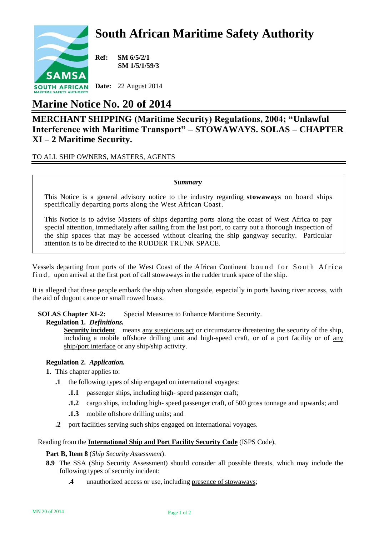# **South African Maritime Safety Authority**



**Ref: SM 6/5/2/1 SM 1/5/1/59/3**

**Date:** 22 August 2014

## **Marine Notice No. 20 of 2014**

### **MERCHANT SHIPPING (Maritime Security) Regulations, 2004; "Unlawful Interference with Maritime Transport" – STOWAWAYS. SOLAS – CHAPTER XI – 2 Maritime Security.**

TO ALL SHIP OWNERS, MASTERS, AGENTS

#### *Summary*

This Notice is a general advisory notice to the industry regarding **stowaways** on board ships specifically departing ports along the West African Coast.

This Notice is to advise Masters of ships departing ports along the coast of West Africa to pay special attention, immediately after sailing from the last port, to carry out a thorough inspection of the ship spaces that may be accessed without clearing the ship gangway security. Particular attention is to be directed to the RUDDER TRUNK SPACE.

Vessels departing from ports of the West Coast of the African Continent bound for South Africa f in d, upon arrival at the first port of call stowaways in the rudder trunk space of the ship.

It is alleged that these people embark the ship when alongside, especially in ports having river access, with the aid of dugout canoe or small rowed boats.

**SOLAS Chapter XI-2:** Special Measures to Enhance Maritime Security.

#### **Regulation 1.** *Definitions.*

**Security incident** means any suspicious act or circumstance threatening the security of the ship, including a mobile offshore drilling unit and high-speed craft, or of a port facility or of any ship/port interface or any ship/ship activity.

#### **Regulation 2.** *Application.*

- **1.** This chapter applies to:
	- **.1** the following types of ship engaged on international voyages:
		- **.1.1** passenger ships, including high- speed passenger craft;
		- **.1.2** cargo ships, including high- speed passenger craft, of 500 gross tonnage and upwards; and
		- **.1.3** mobile offshore drilling units; and
	- **.2** port facilities serving such ships engaged on international voyages.

#### Reading from the **International Ship and Port Facility Security Code** (ISPS Code),

#### **Part B, Item 8** (*Ship Security Assessment*).

- **8.9** The SSA (Ship Security Assessment) should consider all possible threats, which may include the following types of security incident:
	- **.4** unauthorized access or use, including presence of stowaways;